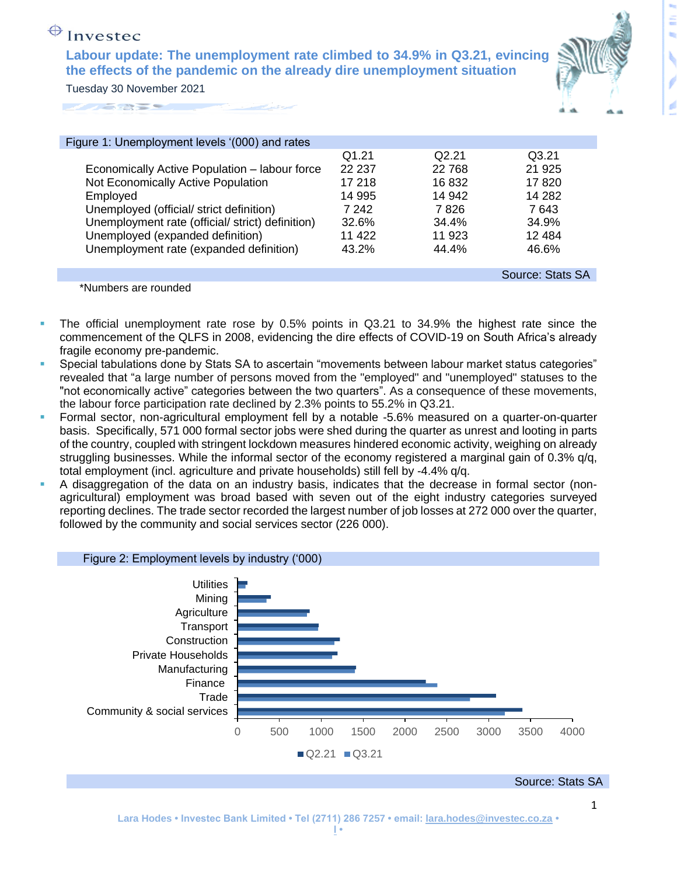## $\bigoplus$  Investec

**Labour update: The unemployment rate climbed to 34.9% in Q3.21, evincing the effects of the pandemic on the already dire unemployment situation** Tuesday 30 November 2021



| Figure 1: Unemployment levels '(000) and rates   |        |        |                  |
|--------------------------------------------------|--------|--------|------------------|
|                                                  | Q1.21  | Q2.21  | Q3.21            |
| Economically Active Population - labour force    | 22 237 | 22 768 | 21 9 25          |
| Not Economically Active Population               | 17 218 | 16832  | 17820            |
| Employed                                         | 14 995 | 14 942 | 14 282           |
| Unemployed (official/ strict definition)         | 7 242  | 7 826  | 7 643            |
| Unemployment rate (official/ strict) definition) | 32.6%  | 34.4%  | 34.9%            |
| Unemployed (expanded definition)                 | 11 422 | 11 923 | 12 4 84          |
| Unemployment rate (expanded definition)          | 43.2%  | 44.4%  | 46.6%            |
|                                                  |        |        |                  |
|                                                  |        |        | Source: Stats SA |

\*Numbers are rounded

- **•** The official unemployment rate rose by 0.5% points in Q3.21 to 34.9% the highest rate since the commencement of the QLFS in 2008, evidencing the dire effects of COVID-19 on South Africa's already fragile economy pre-pandemic.
- Special tabulations done by Stats SA to ascertain "movements between labour market status categories" revealed that "a large number of persons moved from the "employed" and "unemployed" statuses to the "not economically active" categories between the two quarters". As a consequence of these movements, the labour force participation rate declined by 2.3% points to 55.2% in Q3.21.
- Formal sector, non-agricultural employment fell by a notable -5.6% measured on a quarter-on-quarter basis. Specifically, 571 000 formal sector jobs were shed during the quarter as unrest and looting in parts of the country, coupled with stringent lockdown measures hindered economic activity, weighing on already struggling businesses. While the informal sector of the economy registered a marginal gain of 0.3% q/q, total employment (incl. agriculture and private households) still fell by -4.4% q/q.
- A disaggregation of the data on an industry basis, indicates that the decrease in formal sector (nonagricultural) employment was broad based with seven out of the eight industry categories surveyed reporting declines. The trade sector recorded the largest number of job losses at 272 000 over the quarter, followed by the community and social services sector (226 000).

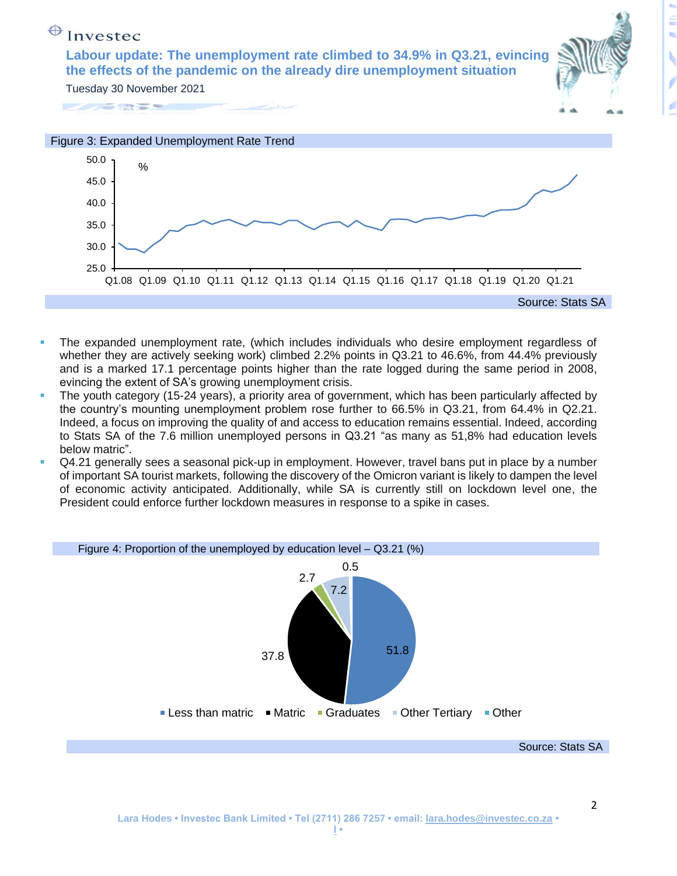## $\bigoplus$  Investec

**Labour update: The unemployment rate climbed to 34.9% in Q3.21, evincing the effects of the pandemic on the already dire unemployment situation** Tuesday 30 November 2021



2





- The expanded unemployment rate, (which includes individuals who desire employment regardless of whether they are actively seeking work) climbed 2.2% points in Q3.21 to 46.6%, from 44.4% previously and is a marked 17.1 percentage points higher than the rate logged during the same period in 2008, evincing the extent of SA's growing unemployment crisis.
- The youth category (15-24 years), a priority area of government, which has been particularly affected by the country's mounting unemployment problem rose further to 66.5% in Q3.21, from 64.4% in Q2.21. Indeed, a focus on improving the quality of and access to education remains essential. Indeed, according to Stats SA of the 7.6 million unemployed persons in Q3.21 "as many as 51,8% had education levels below matric".
- Q4.21 generally sees a seasonal pick-up in employment. However, travel bans put in place by a number of important SA tourist markets, following the discovery of the Omicron variant is likely to dampen the level of economic activity anticipated. Additionally, while SA is currently still on lockdown level one, the President could enforce further lockdown measures in response to a spike in cases.

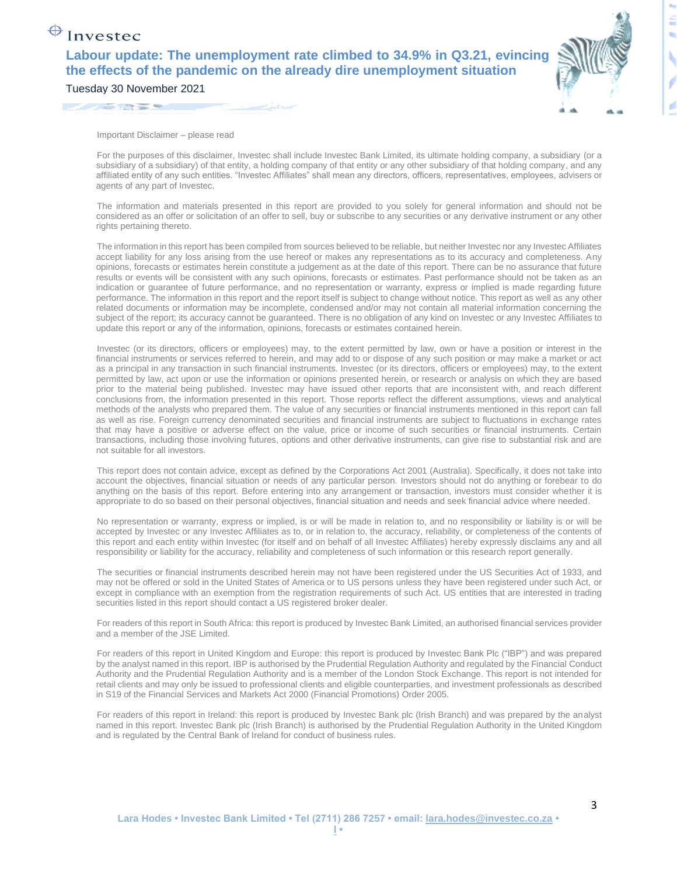## $\bigoplus$  Investec

**Labour update: The unemployment rate climbed to 34.9% in Q3.21, evincing the effects of the pandemic on the already dire unemployment situation** Tuesday 30 November 2021



3

Important Disclaimer – please read

For the purposes of this disclaimer, Investec shall include Investec Bank Limited, its ultimate holding company, a subsidiary (or a subsidiary of a subsidiary) of that entity, a holding company of that entity or any other subsidiary of that holding company, and any affiliated entity of any such entities. "Investec Affiliates" shall mean any directors, officers, representatives, employees, advisers or agents of any part of Investec.

The information and materials presented in this report are provided to you solely for general information and should not be considered as an offer or solicitation of an offer to sell, buy or subscribe to any securities or any derivative instrument or any other rights pertaining thereto.

The information in this report has been compiled from sources believed to be reliable, but neither Investec nor any Investec Affiliates accept liability for any loss arising from the use hereof or makes any representations as to its accuracy and completeness. Any opinions, forecasts or estimates herein constitute a judgement as at the date of this report. There can be no assurance that future results or events will be consistent with any such opinions, forecasts or estimates. Past performance should not be taken as an indication or guarantee of future performance, and no representation or warranty, express or implied is made regarding future performance. The information in this report and the report itself is subject to change without notice. This report as well as any other related documents or information may be incomplete, condensed and/or may not contain all material information concerning the subject of the report; its accuracy cannot be guaranteed. There is no obligation of any kind on Investec or any Investec Affiliates to update this report or any of the information, opinions, forecasts or estimates contained herein.

Investec (or its directors, officers or employees) may, to the extent permitted by law, own or have a position or interest in the financial instruments or services referred to herein, and may add to or dispose of any such position or may make a market or act as a principal in any transaction in such financial instruments. Investec (or its directors, officers or employees) may, to the extent permitted by law, act upon or use the information or opinions presented herein, or research or analysis on which they are based prior to the material being published. Investec may have issued other reports that are inconsistent with, and reach different conclusions from, the information presented in this report. Those reports reflect the different assumptions, views and analytical methods of the analysts who prepared them. The value of any securities or financial instruments mentioned in this report can fall as well as rise. Foreign currency denominated securities and financial instruments are subject to fluctuations in exchange rates that may have a positive or adverse effect on the value, price or income of such securities or financial instruments. Certain transactions, including those involving futures, options and other derivative instruments, can give rise to substantial risk and are not suitable for all investors.

This report does not contain advice, except as defined by the Corporations Act 2001 (Australia). Specifically, it does not take into account the objectives, financial situation or needs of any particular person. Investors should not do anything or forebear to do anything on the basis of this report. Before entering into any arrangement or transaction, investors must consider whether it is appropriate to do so based on their personal objectives, financial situation and needs and seek financial advice where needed.

No representation or warranty, express or implied, is or will be made in relation to, and no responsibility or liability is or will be accepted by Investec or any Investec Affiliates as to, or in relation to, the accuracy, reliability, or completeness of the contents of this report and each entity within Investec (for itself and on behalf of all Investec Affiliates) hereby expressly disclaims any and all responsibility or liability for the accuracy, reliability and completeness of such information or this research report generally.

The securities or financial instruments described herein may not have been registered under the US Securities Act of 1933, and may not be offered or sold in the United States of America or to US persons unless they have been registered under such Act, or except in compliance with an exemption from the registration requirements of such Act. US entities that are interested in trading securities listed in this report should contact a US registered broker dealer.

For readers of this report in South Africa: this report is produced by Investec Bank Limited, an authorised financial services provider and a member of the JSE Limited.

For readers of this report in United Kingdom and Europe: this report is produced by Investec Bank Plc ("IBP") and was prepared by the analyst named in this report. IBP is authorised by the Prudential Regulation Authority and regulated by the Financial Conduct Authority and the Prudential Regulation Authority and is a member of the London Stock Exchange. This report is not intended for retail clients and may only be issued to professional clients and eligible counterparties, and investment professionals as described in S19 of the Financial Services and Markets Act 2000 (Financial Promotions) Order 2005.

For readers of this report in Ireland: this report is produced by Investec Bank plc (Irish Branch) and was prepared by the analyst named in this report. Investec Bank plc (Irish Branch) is authorised by the Prudential Regulation Authority in the United Kingdom and is regulated by the Central Bank of Ireland for conduct of business rules.